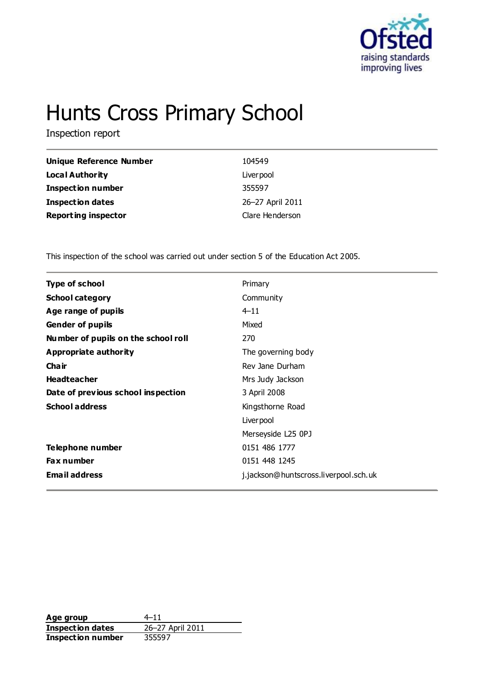

# Hunts Cross Primary School

Inspection report

| Unique Reference Number    | 104549           |
|----------------------------|------------------|
| Local Authority            | Liver pool       |
| <b>Inspection number</b>   | 355597           |
| <b>Inspection dates</b>    | 26-27 April 2011 |
| <b>Reporting inspector</b> | Clare Henderson  |

This inspection of the school was carried out under section 5 of the Education Act 2005.

| <b>Type of school</b>               | Primary                               |
|-------------------------------------|---------------------------------------|
| <b>School category</b>              | Community                             |
| Age range of pupils                 | $4 - 11$                              |
| <b>Gender of pupils</b>             | Mixed                                 |
| Number of pupils on the school roll | 270                                   |
| <b>Appropriate authority</b>        | The governing body                    |
| Cha ir                              | Rev Jane Durham                       |
| <b>Headteacher</b>                  | Mrs Judy Jackson                      |
| Date of previous school inspection  | 3 April 2008                          |
| <b>School address</b>               | Kingsthorne Road                      |
|                                     | Liver pool                            |
|                                     | Merseyside L25 0PJ                    |
| Telephone number                    | 0151 486 1777                         |
| <b>Fax number</b>                   | 0151 448 1245                         |
| <b>Email address</b>                | j.jackson@huntscross.liverpool.sch.uk |
|                                     |                                       |

**Age group** 4–11<br> **Inspection dates** 26–27 April 2011 **Inspection dates Inspection number** 355597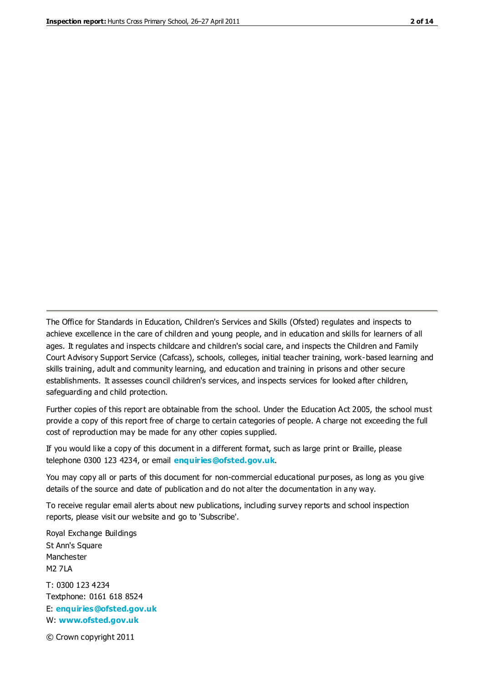The Office for Standards in Education, Children's Services and Skills (Ofsted) regulates and inspects to achieve excellence in the care of children and young people, and in education and skills for learners of all ages. It regulates and inspects childcare and children's social care, and inspects the Children and Family Court Advisory Support Service (Cafcass), schools, colleges, initial teacher training, work-based learning and skills training, adult and community learning, and education and training in prisons and other secure establishments. It assesses council children's services, and inspects services for looked after children, safeguarding and child protection.

Further copies of this report are obtainable from the school. Under the Education Act 2005, the school must provide a copy of this report free of charge to certain categories of people. A charge not exceeding the full cost of reproduction may be made for any other copies supplied.

If you would like a copy of this document in a different format, such as large print or Braille, please telephone 0300 123 4234, or email **[enquiries@ofsted.gov.uk](mailto:enquiries@ofsted.gov.uk)**.

You may copy all or parts of this document for non-commercial educational purposes, as long as you give details of the source and date of publication and do not alter the documentation in any way.

To receive regular email alerts about new publications, including survey reports and school inspection reports, please visit our website and go to 'Subscribe'.

Royal Exchange Buildings St Ann's Square Manchester M2 7LA T: 0300 123 4234 Textphone: 0161 618 8524 E: **[enquiries@ofsted.gov.uk](mailto:enquiries@ofsted.gov.uk)**

W: **[www.ofsted.gov.uk](http://www.ofsted.gov.uk/)**

© Crown copyright 2011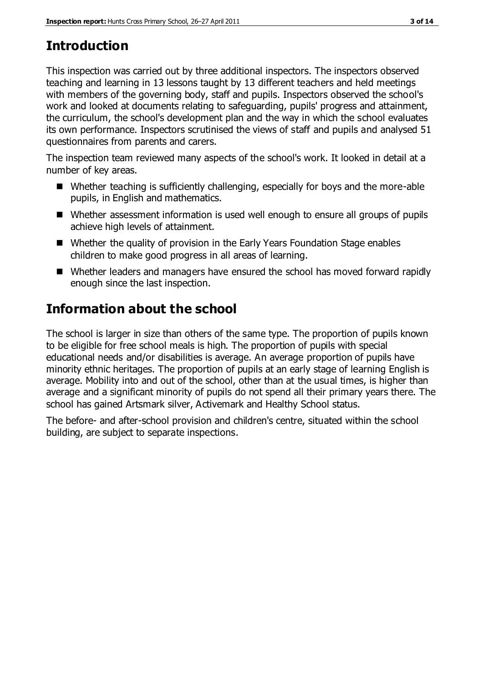# **Introduction**

This inspection was carried out by three additional inspectors. The inspectors observed teaching and learning in 13 lessons taught by 13 different teachers and held meetings with members of the governing body, staff and pupils. Inspectors observed the school's work and looked at documents relating to safeguarding, pupils' progress and attainment, the curriculum, the school's development plan and the way in which the school evaluates its own performance. Inspectors scrutinised the views of staff and pupils and analysed 51 questionnaires from parents and carers.

The inspection team reviewed many aspects of the school's work. It looked in detail at a number of key areas.

- Whether teaching is sufficiently challenging, especially for boys and the more-able pupils, in English and mathematics.
- Whether assessment information is used well enough to ensure all groups of pupils achieve high levels of attainment.
- Whether the quality of provision in the Early Years Foundation Stage enables children to make good progress in all areas of learning.
- Whether leaders and managers have ensured the school has moved forward rapidly enough since the last inspection.

# **Information about the school**

The school is larger in size than others of the same type. The proportion of pupils known to be eligible for free school meals is high. The proportion of pupils with special educational needs and/or disabilities is average. An average proportion of pupils have minority ethnic heritages. The proportion of pupils at an early stage of learning English is average. Mobility into and out of the school, other than at the usual times, is higher than average and a significant minority of pupils do not spend all their primary years there. The school has gained Artsmark silver, Activemark and Healthy School status.

The before- and after-school provision and children's centre, situated within the school building, are subject to separate inspections.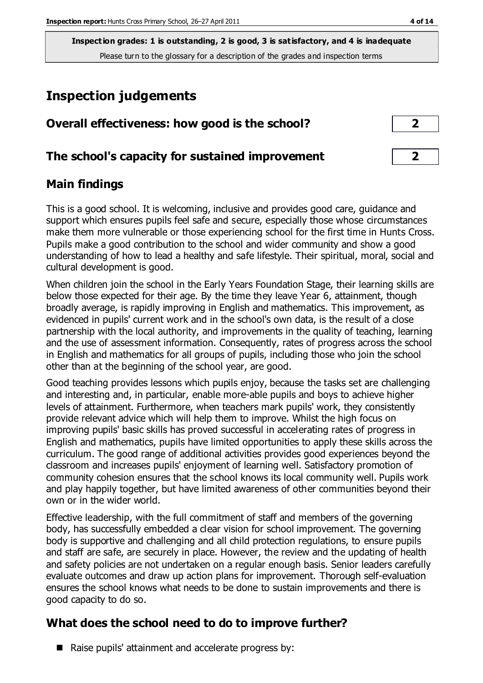**Inspection grades: 1 is outstanding, 2 is good, 3 is satisfactory, and 4 is inadequate** Please turn to the glossary for a description of the grades and inspection terms

# **Inspection judgements**

| Overall effectiveness: how good is the school?  |   |
|-------------------------------------------------|---|
| The school's capacity for sustained improvement | ר |

#### **Main findings**

This is a good school. It is welcoming, inclusive and provides good care, guidance and support which ensures pupils feel safe and secure, especially those whose circumstances make them more vulnerable or those experiencing school for the first time in Hunts Cross. Pupils make a good contribution to the school and wider community and show a good understanding of how to lead a healthy and safe lifestyle. Their spiritual, moral, social and cultural development is good.

When children join the school in the Early Years Foundation Stage, their learning skills are below those expected for their age. By the time they leave Year 6, attainment, though broadly average, is rapidly improving in English and mathematics. This improvement, as evidenced in pupils' current work and in the school's own data, is the result of a close partnership with the local authority, and improvements in the quality of teaching, learning and the use of assessment information. Consequently, rates of progress across the school in English and mathematics for all groups of pupils, including those who join the school other than at the beginning of the school year, are good.

Good teaching provides lessons which pupils enjoy, because the tasks set are challenging and interesting and, in particular, enable more-able pupils and boys to achieve higher levels of attainment. Furthermore, when teachers mark pupils' work, they consistently provide relevant advice which will help them to improve. Whilst the high focus on improving pupils' basic skills has proved successful in accelerating rates of progress in English and mathematics, pupils have limited opportunities to apply these skills across the curriculum. The good range of additional activities provides good experiences beyond the classroom and increases pupils' enjoyment of learning well. Satisfactory promotion of community cohesion ensures that the school knows its local community well. Pupils work and play happily together, but have limited awareness of other communities beyond their own or in the wider world.

Effective leadership, with the full commitment of staff and members of the governing body, has successfully embedded a clear vision for school improvement. The governing body is supportive and challenging and all child protection regulations, to ensure pupils and staff are safe, are securely in place. However, the review and the updating of health and safety policies are not undertaken on a regular enough basis. Senior leaders carefully evaluate outcomes and draw up action plans for improvement. Thorough self-evaluation ensures the school knows what needs to be done to sustain improvements and there is good capacity to do so.

#### **What does the school need to do to improve further?**

 $\blacksquare$  Raise pupils' attainment and accelerate progress by: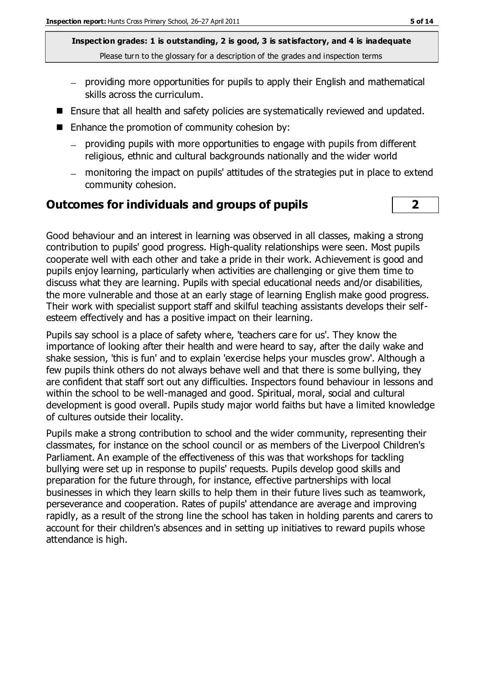**Inspection grades: 1 is outstanding, 2 is good, 3 is satisfactory, and 4 is inadequate** Please turn to the glossary for a description of the grades and inspection terms

- providing more opportunities for pupils to apply their English and mathematical skills across the curriculum.
- Ensure that all health and safety policies are systematically reviewed and updated.
- $\blacksquare$  Enhance the promotion of community cohesion by:
	- providing pupils with more opportunities to engage with pupils from different religious, ethnic and cultural backgrounds nationally and the wider world
	- monitoring the impact on pupils' attitudes of the strategies put in place to extend community cohesion.

#### **Outcomes for individuals and groups of pupils 2**

Good behaviour and an interest in learning was observed in all classes, making a strong contribution to pupils' good progress. High-quality relationships were seen. Most pupils cooperate well with each other and take a pride in their work. Achievement is good and pupils enjoy learning, particularly when activities are challenging or give them time to discuss what they are learning. Pupils with special educational needs and/or disabilities, the more vulnerable and those at an early stage of learning English make good progress. Their work with specialist support staff and skilful teaching assistants develops their selfesteem effectively and has a positive impact on their learning.

Pupils say school is a place of safety where, 'teachers care for us'. They know the importance of looking after their health and were heard to say, after the daily wake and shake session, 'this is fun' and to explain 'exercise helps your muscles grow'. Although a few pupils think others do not always behave well and that there is some bullying, they are confident that staff sort out any difficulties. Inspectors found behaviour in lessons and within the school to be well-managed and good. Spiritual, moral, social and cultural development is good overall. Pupils study major world faiths but have a limited knowledge of cultures outside their locality.

Pupils make a strong contribution to school and the wider community, representing their classmates, for instance on the school council or as members of the Liverpool Children's Parliament. An example of the effectiveness of this was that workshops for tackling bullying were set up in response to pupils' requests. Pupils develop good skills and preparation for the future through, for instance, effective partnerships with local businesses in which they learn skills to help them in their future lives such as teamwork, perseverance and cooperation. Rates of pupils' attendance are average and improving rapidly, as a result of the strong line the school has taken in holding parents and carers to account for their children's absences and in setting up initiatives to reward pupils whose attendance is high.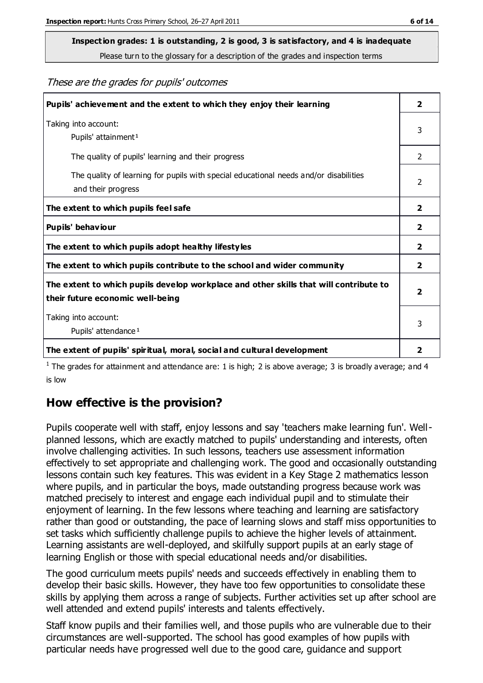# **Inspection grades: 1 is outstanding, 2 is good, 3 is satisfactory, and 4 is inadequate**

Please turn to the glossary for a description of the grades and inspection terms

These are the grades for pupils' outcomes

| Pupils' achievement and the extent to which they enjoy their learning                                                     | $\overline{2}$          |
|---------------------------------------------------------------------------------------------------------------------------|-------------------------|
| Taking into account:<br>Pupils' attainment <sup>1</sup>                                                                   | 3                       |
| The quality of pupils' learning and their progress                                                                        | $\mathfrak{D}$          |
| The quality of learning for pupils with special educational needs and/or disabilities<br>and their progress               | 2                       |
| The extent to which pupils feel safe                                                                                      | $\mathbf{2}$            |
| Pupils' behaviour                                                                                                         | 2                       |
| The extent to which pupils adopt healthy lifestyles                                                                       | 2                       |
| The extent to which pupils contribute to the school and wider community                                                   | $\overline{2}$          |
| The extent to which pupils develop workplace and other skills that will contribute to<br>their future economic well-being | $\overline{\mathbf{2}}$ |
| Taking into account:<br>Pupils' attendance <sup>1</sup>                                                                   | 3                       |
| The extent of pupils' spiritual, moral, social and cultural development                                                   | 2                       |

<sup>1</sup> The grades for attainment and attendance are: 1 is high; 2 is above average; 3 is broadly average; and 4 is low

#### **How effective is the provision?**

Pupils cooperate well with staff, enjoy lessons and say 'teachers make learning fun'. Wellplanned lessons, which are exactly matched to pupils' understanding and interests, often involve challenging activities. In such lessons, teachers use assessment information effectively to set appropriate and challenging work. The good and occasionally outstanding lessons contain such key features. This was evident in a Key Stage 2 mathematics lesson where pupils, and in particular the boys, made outstanding progress because work was matched precisely to interest and engage each individual pupil and to stimulate their enjoyment of learning. In the few lessons where teaching and learning are satisfactory rather than good or outstanding, the pace of learning slows and staff miss opportunities to set tasks which sufficiently challenge pupils to achieve the higher levels of attainment. Learning assistants are well-deployed, and skilfully support pupils at an early stage of learning English or those with special educational needs and/or disabilities.

The good curriculum meets pupils' needs and succeeds effectively in enabling them to develop their basic skills. However, they have too few opportunities to consolidate these skills by applying them across a range of subjects. Further activities set up after school are well attended and extend pupils' interests and talents effectively.

Staff know pupils and their families well, and those pupils who are vulnerable due to their circumstances are well-supported. The school has good examples of how pupils with particular needs have progressed well due to the good care, guidance and support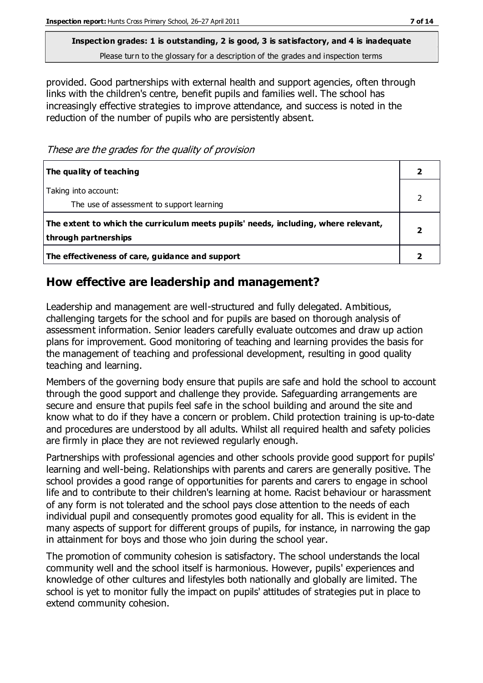**Inspection grades: 1 is outstanding, 2 is good, 3 is satisfactory, and 4 is inadequate** Please turn to the glossary for a description of the grades and inspection terms

provided. Good partnerships with external health and support agencies, often through links with the children's centre, benefit pupils and families well. The school has increasingly effective strategies to improve attendance, and success is noted in the reduction of the number of pupils who are persistently absent.

These are the grades for the quality of provision

| The quality of teaching                                                                                    |  |
|------------------------------------------------------------------------------------------------------------|--|
| Taking into account:<br>The use of assessment to support learning                                          |  |
| The extent to which the curriculum meets pupils' needs, including, where relevant,<br>through partnerships |  |
| The effectiveness of care, guidance and support                                                            |  |

#### **How effective are leadership and management?**

Leadership and management are well-structured and fully delegated. Ambitious, challenging targets for the school and for pupils are based on thorough analysis of assessment information. Senior leaders carefully evaluate outcomes and draw up action plans for improvement. Good monitoring of teaching and learning provides the basis for the management of teaching and professional development, resulting in good quality teaching and learning.

Members of the governing body ensure that pupils are safe and hold the school to account through the good support and challenge they provide. Safeguarding arrangements are secure and ensure that pupils feel safe in the school building and around the site and know what to do if they have a concern or problem. Child protection training is up-to-date and procedures are understood by all adults. Whilst all required health and safety policies are firmly in place they are not reviewed regularly enough.

Partnerships with professional agencies and other schools provide good support for pupils' learning and well-being. Relationships with parents and carers are generally positive. The school provides a good range of opportunities for parents and carers to engage in school life and to contribute to their children's learning at home. Racist behaviour or harassment of any form is not tolerated and the school pays close attention to the needs of each individual pupil and consequently promotes good equality for all. This is evident in the many aspects of support for different groups of pupils, for instance, in narrowing the gap in attainment for boys and those who join during the school year.

The promotion of community cohesion is satisfactory. The school understands the local community well and the school itself is harmonious. However, pupils' experiences and knowledge of other cultures and lifestyles both nationally and globally are limited. The school is yet to monitor fully the impact on pupils' attitudes of strategies put in place to extend community cohesion.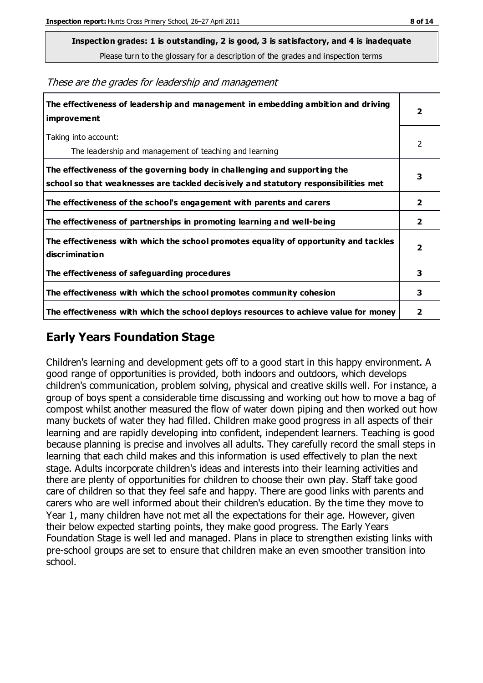**Inspection grades: 1 is outstanding, 2 is good, 3 is satisfactory, and 4 is inadequate**

Please turn to the glossary for a description of the grades and inspection terms

These are the grades for leadership and management

| The effectiveness of leadership and management in embedding ambition and driving<br>improvement                                                                  | $\overline{\mathbf{2}}$ |
|------------------------------------------------------------------------------------------------------------------------------------------------------------------|-------------------------|
| Taking into account:<br>The leadership and management of teaching and learning                                                                                   | 2                       |
| The effectiveness of the governing body in challenging and supporting the<br>school so that weaknesses are tackled decisively and statutory responsibilities met | 3                       |
| The effectiveness of the school's engagement with parents and carers                                                                                             | 2                       |
| The effectiveness of partnerships in promoting learning and well-being                                                                                           | $\overline{\mathbf{2}}$ |
| The effectiveness with which the school promotes equality of opportunity and tackles<br>discrimination                                                           | $\overline{\mathbf{2}}$ |
| The effectiveness of safeguarding procedures                                                                                                                     | 3                       |
| The effectiveness with which the school promotes community cohesion                                                                                              | 3                       |
| The effectiveness with which the school deploys resources to achieve value for money                                                                             | 2                       |

#### **Early Years Foundation Stage**

Children's learning and development gets off to a good start in this happy environment. A good range of opportunities is provided, both indoors and outdoors, which develops children's communication, problem solving, physical and creative skills well. For instance, a group of boys spent a considerable time discussing and working out how to move a bag of compost whilst another measured the flow of water down piping and then worked out how many buckets of water they had filled. Children make good progress in all aspects of their learning and are rapidly developing into confident, independent learners. Teaching is good because planning is precise and involves all adults. They carefully record the small steps in learning that each child makes and this information is used effectively to plan the next stage. Adults incorporate children's ideas and interests into their learning activities and there are plenty of opportunities for children to choose their own play. Staff take good care of children so that they feel safe and happy. There are good links with parents and carers who are well informed about their children's education. By the time they move to Year 1, many children have not met all the expectations for their age. However, given their below expected starting points, they make good progress. The Early Years Foundation Stage is well led and managed. Plans in place to strengthen existing links with pre-school groups are set to ensure that children make an even smoother transition into school.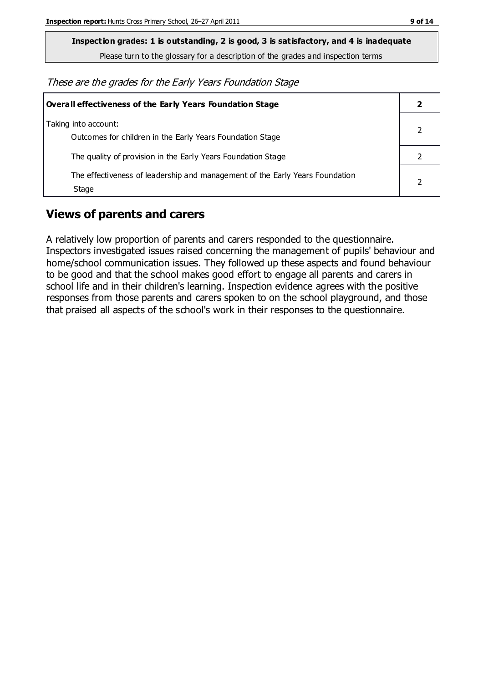**Inspection grades: 1 is outstanding, 2 is good, 3 is satisfactory, and 4 is inadequate**

Please turn to the glossary for a description of the grades and inspection terms

These are the grades for the Early Years Foundation Stage

| Overall effectiveness of the Early Years Foundation Stage                             |  |
|---------------------------------------------------------------------------------------|--|
| Taking into account:<br>Outcomes for children in the Early Years Foundation Stage     |  |
| The quality of provision in the Early Years Foundation Stage                          |  |
| The effectiveness of leadership and management of the Early Years Foundation<br>Stage |  |

#### **Views of parents and carers**

A relatively low proportion of parents and carers responded to the questionnaire. Inspectors investigated issues raised concerning the management of pupils' behaviour and home/school communication issues. They followed up these aspects and found behaviour to be good and that the school makes good effort to engage all parents and carers in school life and in their children's learning. Inspection evidence agrees with the positive responses from those parents and carers spoken to on the school playground, and those that praised all aspects of the school's work in their responses to the questionnaire.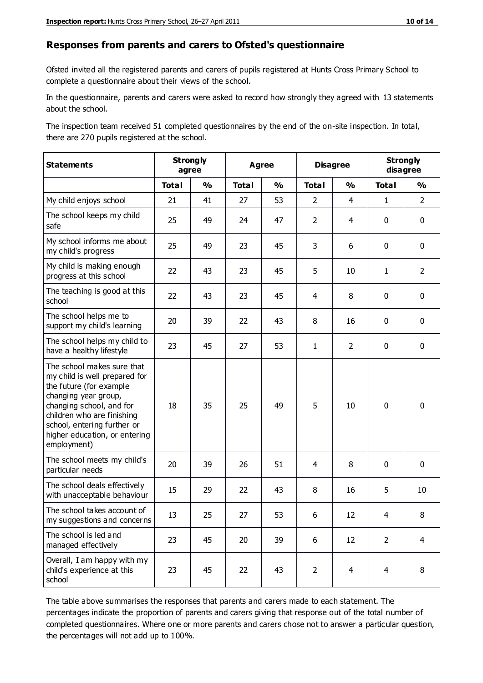#### **Responses from parents and carers to Ofsted's questionnaire**

Ofsted invited all the registered parents and carers of pupils registered at Hunts Cross Primary School to complete a questionnaire about their views of the school.

In the questionnaire, parents and carers were asked to record how strongly they agreed with 13 statements about the school.

The inspection team received 51 completed questionnaires by the end of the on-site inspection. In total, there are 270 pupils registered at the school.

| <b>Statements</b>                                                                                                                                                                                                                                       | <b>Strongly</b><br>agree |               | <b>Agree</b> |               | <b>Disagree</b> |                | <b>Strongly</b><br>disagree |                |
|---------------------------------------------------------------------------------------------------------------------------------------------------------------------------------------------------------------------------------------------------------|--------------------------|---------------|--------------|---------------|-----------------|----------------|-----------------------------|----------------|
|                                                                                                                                                                                                                                                         | <b>Total</b>             | $\frac{1}{2}$ | <b>Total</b> | $\frac{1}{2}$ | <b>Total</b>    | $\frac{1}{2}$  | <b>Total</b>                | $\frac{1}{2}$  |
| My child enjoys school                                                                                                                                                                                                                                  | 21                       | 41            | 27           | 53            | $\overline{2}$  | $\overline{4}$ | $\mathbf{1}$                | $\overline{2}$ |
| The school keeps my child<br>safe                                                                                                                                                                                                                       | 25                       | 49            | 24           | 47            | $\overline{2}$  | $\overline{4}$ | $\mathbf 0$                 | $\mathbf 0$    |
| My school informs me about<br>my child's progress                                                                                                                                                                                                       | 25                       | 49            | 23           | 45            | 3               | 6              | $\mathbf 0$                 | $\mathbf 0$    |
| My child is making enough<br>progress at this school                                                                                                                                                                                                    | 22                       | 43            | 23           | 45            | 5               | 10             | $\mathbf{1}$                | $\overline{2}$ |
| The teaching is good at this<br>school                                                                                                                                                                                                                  | 22                       | 43            | 23           | 45            | 4               | 8              | $\mathbf 0$                 | $\mathbf 0$    |
| The school helps me to<br>support my child's learning                                                                                                                                                                                                   | 20                       | 39            | 22           | 43            | 8               | 16             | $\mathbf 0$                 | $\mathbf 0$    |
| The school helps my child to<br>have a healthy lifestyle                                                                                                                                                                                                | 23                       | 45            | 27           | 53            | $\mathbf{1}$    | $\overline{2}$ | $\mathbf 0$                 | $\mathbf 0$    |
| The school makes sure that<br>my child is well prepared for<br>the future (for example<br>changing year group,<br>changing school, and for<br>children who are finishing<br>school, entering further or<br>higher education, or entering<br>employment) | 18                       | 35            | 25           | 49            | 5               | 10             | $\mathbf 0$                 | $\mathbf 0$    |
| The school meets my child's<br>particular needs                                                                                                                                                                                                         | 20                       | 39            | 26           | 51            | 4               | 8              | $\mathbf 0$                 | $\mathbf 0$    |
| The school deals effectively<br>with unacceptable behaviour                                                                                                                                                                                             | 15                       | 29            | 22           | 43            | 8               | 16             | 5                           | 10             |
| The school takes account of<br>my suggestions and concerns                                                                                                                                                                                              | 13                       | 25            | 27           | 53            | 6               | 12             | $\overline{4}$              | 8              |
| The school is led and<br>managed effectively                                                                                                                                                                                                            | 23                       | 45            | 20           | 39            | 6               | 12             | $\overline{2}$              | $\overline{4}$ |
| Overall, I am happy with my<br>child's experience at this<br>school                                                                                                                                                                                     | 23                       | 45            | 22           | 43            | $\overline{2}$  | $\overline{4}$ | $\overline{4}$              | 8              |

The table above summarises the responses that parents and carers made to each statement. The percentages indicate the proportion of parents and carers giving that response out of the total number of completed questionnaires. Where one or more parents and carers chose not to answer a particular question, the percentages will not add up to 100%.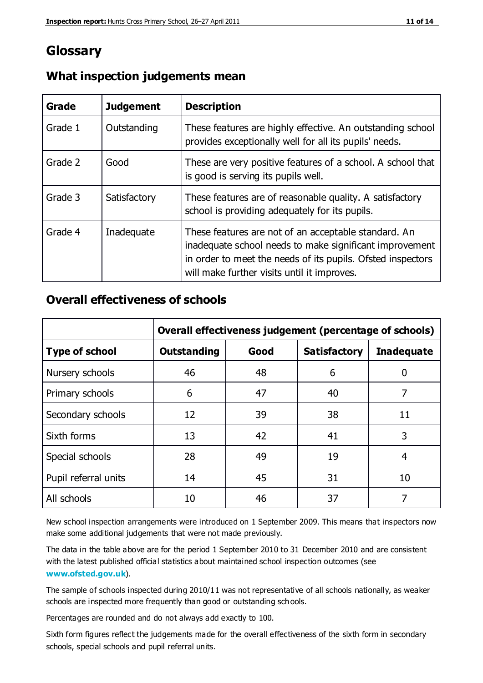### **Glossary**

| Grade   | <b>Judgement</b> | <b>Description</b>                                                                                                                                                                                                            |
|---------|------------------|-------------------------------------------------------------------------------------------------------------------------------------------------------------------------------------------------------------------------------|
| Grade 1 | Outstanding      | These features are highly effective. An outstanding school<br>provides exceptionally well for all its pupils' needs.                                                                                                          |
| Grade 2 | Good             | These are very positive features of a school. A school that<br>is good is serving its pupils well.                                                                                                                            |
| Grade 3 | Satisfactory     | These features are of reasonable quality. A satisfactory<br>school is providing adequately for its pupils.                                                                                                                    |
| Grade 4 | Inadequate       | These features are not of an acceptable standard. An<br>inadequate school needs to make significant improvement<br>in order to meet the needs of its pupils. Ofsted inspectors<br>will make further visits until it improves. |

#### **What inspection judgements mean**

#### **Overall effectiveness of schools**

|                       | Overall effectiveness judgement (percentage of schools) |      |                     |                   |
|-----------------------|---------------------------------------------------------|------|---------------------|-------------------|
| <b>Type of school</b> | <b>Outstanding</b>                                      | Good | <b>Satisfactory</b> | <b>Inadequate</b> |
| Nursery schools       | 46                                                      | 48   | 6                   |                   |
| Primary schools       | 6                                                       | 47   | 40                  | 7                 |
| Secondary schools     | 12                                                      | 39   | 38                  | 11                |
| Sixth forms           | 13                                                      | 42   | 41                  | 3                 |
| Special schools       | 28                                                      | 49   | 19                  | 4                 |
| Pupil referral units  | 14                                                      | 45   | 31                  | 10                |
| All schools           | 10                                                      | 46   | 37                  |                   |

New school inspection arrangements were introduced on 1 September 2009. This means that inspectors now make some additional judgements that were not made previously.

The data in the table above are for the period 1 September 2010 to 31 December 2010 and are consistent with the latest published official statistics about maintained school inspection outcomes (see **[www.ofsted.gov.uk](http://www.ofsted.gov.uk/)**).

The sample of schools inspected during 2010/11 was not representative of all schools nationally, as weaker schools are inspected more frequently than good or outstanding schools.

Percentages are rounded and do not always add exactly to 100.

Sixth form figures reflect the judgements made for the overall effectiveness of the sixth form in secondary schools, special schools and pupil referral units.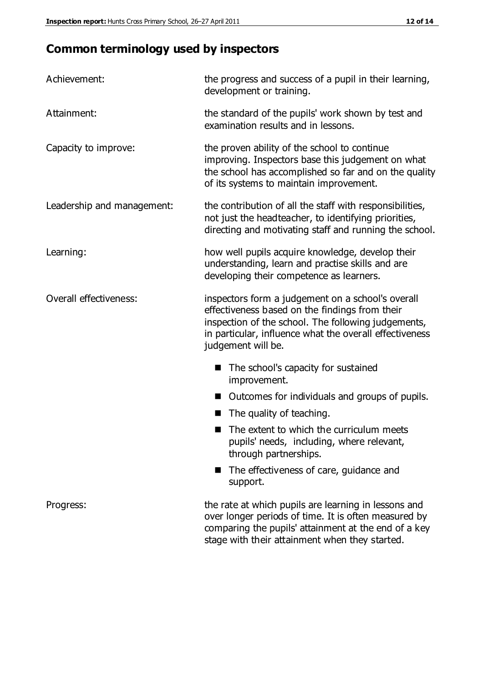## **Common terminology used by inspectors**

| Achievement:               | the progress and success of a pupil in their learning,<br>development or training.                                                                                                                                                          |
|----------------------------|---------------------------------------------------------------------------------------------------------------------------------------------------------------------------------------------------------------------------------------------|
| Attainment:                | the standard of the pupils' work shown by test and<br>examination results and in lessons.                                                                                                                                                   |
| Capacity to improve:       | the proven ability of the school to continue<br>improving. Inspectors base this judgement on what<br>the school has accomplished so far and on the quality<br>of its systems to maintain improvement.                                       |
| Leadership and management: | the contribution of all the staff with responsibilities,<br>not just the headteacher, to identifying priorities,<br>directing and motivating staff and running the school.                                                                  |
| Learning:                  | how well pupils acquire knowledge, develop their<br>understanding, learn and practise skills and are<br>developing their competence as learners.                                                                                            |
| Overall effectiveness:     | inspectors form a judgement on a school's overall<br>effectiveness based on the findings from their<br>inspection of the school. The following judgements,<br>in particular, influence what the overall effectiveness<br>judgement will be. |
|                            | The school's capacity for sustained<br>improvement.                                                                                                                                                                                         |
|                            | Outcomes for individuals and groups of pupils.                                                                                                                                                                                              |
|                            | The quality of teaching.                                                                                                                                                                                                                    |
|                            | The extent to which the curriculum meets<br>pupils' needs, including, where relevant,<br>through partnerships.                                                                                                                              |
|                            | The effectiveness of care, guidance and<br>support.                                                                                                                                                                                         |
| Progress:                  | the rate at which pupils are learning in lessons and<br>over longer periods of time. It is often measured by<br>comparing the pupils' attainment at the end of a key                                                                        |

stage with their attainment when they started.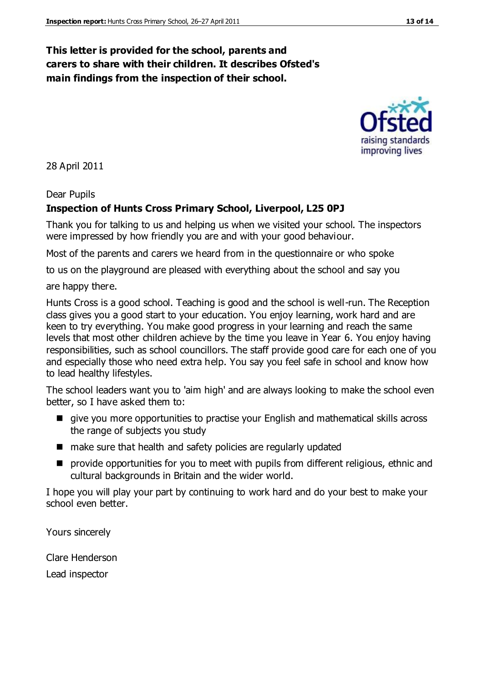#### **This letter is provided for the school, parents and carers to share with their children. It describes Ofsted's main findings from the inspection of their school.**

28 April 2011

#### Dear Pupils

#### **Inspection of Hunts Cross Primary School, Liverpool, L25 0PJ**

Thank you for talking to us and helping us when we visited your school. The inspectors were impressed by how friendly you are and with your good behaviour.

Most of the parents and carers we heard from in the questionnaire or who spoke

to us on the playground are pleased with everything about the school and say you

are happy there.

Hunts Cross is a good school. Teaching is good and the school is well-run. The Reception class gives you a good start to your education. You enjoy learning, work hard and are keen to try everything. You make good progress in your learning and reach the same levels that most other children achieve by the time you leave in Year 6. You enjoy having responsibilities, such as school councillors. The staff provide good care for each one of you and especially those who need extra help. You say you feel safe in school and know how to lead healthy lifestyles.

The school leaders want you to 'aim high' and are always looking to make the school even better, so I have asked them to:

- give you more opportunities to practise your English and mathematical skills across the range of subjects you study
- make sure that health and safety policies are regularly updated
- **P** provide opportunities for you to meet with pupils from different religious, ethnic and cultural backgrounds in Britain and the wider world.

I hope you will play your part by continuing to work hard and do your best to make your school even better.

Yours sincerely

Clare Henderson